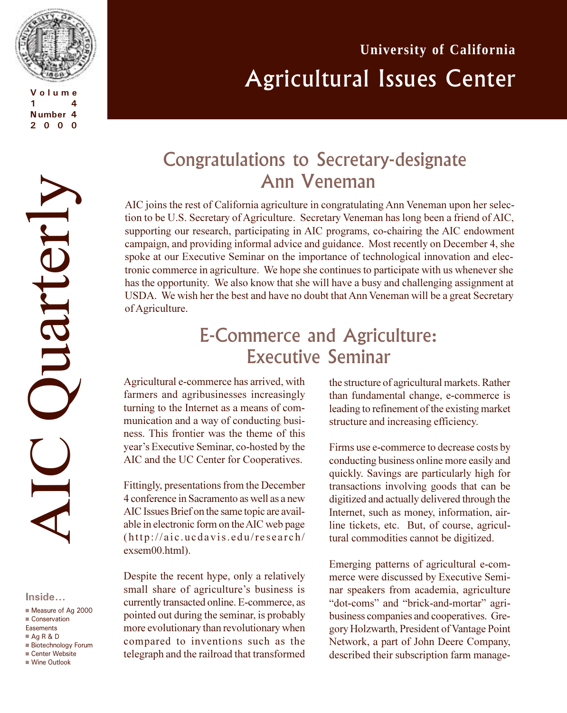

**Volume 1 4 Number 4 2000**

# **University of California** Agricultural Issues Center

# AIC Quarterly Ouarterly

#### **Inside...**

- Measure of Ag 2000
- $\blacksquare$  Conservation Easements
- $Aq R & D$
- Biotechnology Forum
- Center Website
- <sup>n</sup> Wine Outlook

# Congratulations to Secretary-designate Ann Veneman

AIC joins the rest of California agriculture in congratulating Ann Veneman upon her selection to be U.S. Secretary of Agriculture. Secretary Veneman has long been a friend of AIC, supporting our research, participating in AIC programs, co-chairing the AIC endowment campaign, and providing informal advice and guidance. Most recently on December 4, she spoke at our Executive Seminar on the importance of technological innovation and electronic commerce in agriculture. We hope she continues to participate with us whenever she has the opportunity. We also know that she will have a busy and challenging assignment at USDA. We wish her the best and have no doubt that Ann Veneman will be a great Secretary of Agriculture.

# E-Commerce and Agriculture: Executive Seminar

Agricultural e-commerce has arrived, with farmers and agribusinesses increasingly turning to the Internet as a means of communication and a way of conducting business. This frontier was the theme of this year's Executive Seminar, co-hosted by the AIC and the UC Center for Cooperatives.

Fittingly, presentations from the December 4 conference in Sacramento as well as a new AIC Issues Brief on the same topic are available in electronic form on the AIC web page (http://aic.ucdavis.edu/research/ exsem00.html).

Despite the recent hype, only a relatively small share of agriculture's business is currently transacted online. E-commerce, as pointed out during the seminar, is probably more evolutionary than revolutionary when compared to inventions such as the telegraph and the railroad that transformed

the structure of agricultural markets. Rather than fundamental change, e-commerce is leading to refinement of the existing market structure and increasing efficiency.

Firms use e-commerce to decrease costs by conducting business online more easily and quickly. Savings are particularly high for transactions involving goods that can be digitized and actually delivered through the Internet, such as money, information, airline tickets, etc. But, of course, agricultural commodities cannot be digitized.

Emerging patterns of agricultural e-commerce were discussed by Executive Seminar speakers from academia, agriculture "dot-coms" and "brick-and-mortar" agribusiness companies and cooperatives. Gregory Holzwarth, President of Vantage Point Network, a part of John Deere Company, described their subscription farm manage-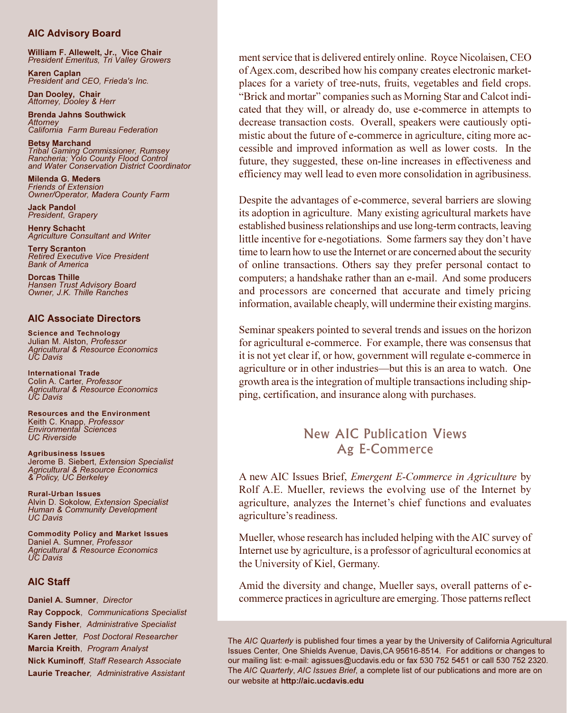#### **AIC Advisory Board**

**William F. Allewelt, Jr., Vice Chair** *President Emeritus, Tri Valley Growers*

**Karen Caplan** *President and CEO, Frieda's Inc.*

**Dan Dooley, Chair** *Attorney, Dooley & Herr*

**Brenda Jahns Southwick** *Attorney California Farm Bureau Federation*

**Betsy Marchand** *Tribal Gaming Commissioner, Rumsey Rancheria; Yolo County Flood Control and Water Conservation District Coordinator*

**Milenda G. Meders** *Friends of Extension Owner/Operator, Madera County Farm*

**Jack Pandol** *President*, *Grapery*

**Henry Schacht** *Agriculture Consultant and Writer*

**Terry Scranton** *Retired Executive Vice President Bank of America*

**Dorcas Thille** *Hansen Trust Advisory Board Owner, J.K. Thille Ranches*

#### **AIC Associate Directors**

**Science and Technology** Julian M. Alston, *Professor Agricultural & Resource Economics UC Davis*

**International Trade** Colin A. Carter, *Professor Agricultural & Resource Economics UC Davis*

**Resources and the Environment** Keith C. Knapp, *Professor Environmental Sciences UC Riverside*

**Agribusiness Issues** Jerome B. Siebert, *Extension Specialist Agricultural & Resource Economics & Policy, UC Berkeley*

**Rural-Urban Issues** Alvin D. Sokolow, *Extension Specialist Human & Community Development UC Davis*

**Commodity Policy and Market Issues** Daniel A. Sumner, *Professor Agricultural & Resource Economics UC Davis*

#### **AIC Staff**

**Daniel A. Sumner**, *Director* **Ray Coppock**, *Communications Specialist* **Sandy Fisher**, *Administrative Specialist* **Karen Jetter***, Post Doctoral Researcher* **Marcia Kreith**, *Program Analyst* **Nick Kuminoff***, Staff Research Associate* **Laurie Treache***r, Administrative Assistant*

ment service that is delivered entirely online. Royce Nicolaisen, CEO of Agex.com, described how his company creates electronic marketplaces for a variety of tree-nuts, fruits, vegetables and field crops. "Brick and mortar" companies such as Morning Star and Calcot indicated that they will, or already do, use e-commerce in attempts to decrease transaction costs. Overall, speakers were cautiously optimistic about the future of e-commerce in agriculture, citing more accessible and improved information as well as lower costs. In the future, they suggested, these on-line increases in effectiveness and efficiency may well lead to even more consolidation in agribusiness.

Despite the advantages of e-commerce, several barriers are slowing its adoption in agriculture. Many existing agricultural markets have established business relationships and use long-term contracts, leaving little incentive for e-negotiations. Some farmers say they don't have time to learn how to use the Internet or are concerned about the security of online transactions. Others say they prefer personal contact to computers; a handshake rather than an e-mail. And some producers and processors are concerned that accurate and timely pricing information, available cheaply, will undermine their existing margins.

Seminar speakers pointed to several trends and issues on the horizon for agricultural e-commerce. For example, there was consensus that it is not yet clear if, or how, government will regulate e-commerce in agriculture or in other industries—but this is an area to watch. One growth area is the integration of multiple transactions including shipping, certification, and insurance along with purchases.

#### New AIC Publication Views Ag E-Commerce

A new AIC Issues Brief, *Emergent E-Commerce in Agriculture* by Rolf A.E. Mueller, reviews the evolving use of the Internet by agriculture, analyzes the Internet's chief functions and evaluates agriculture's readiness.

Mueller, whose research has included helping with the AIC survey of Internet use by agriculture, is a professor of agricultural economics at the University of Kiel, Germany.

Amid the diversity and change, Mueller says, overall patterns of ecommerce practices in agriculture are emerging. Those patterns reflect

The *AIC Quarterly* is published four times a year by the University of California Agricultural Issues Center, One Shields Avenue, Davis,CA 95616-8514. For additions or changes to our mailing list: e-mail: agissues@ucdavis.edu or fax 530 752 5451 or call 530 752 2320. The *AIC Quarterly*, *AIC Issues Brief*, a complete list of our publications and more are on our website at **http://aic.ucdavis.edu**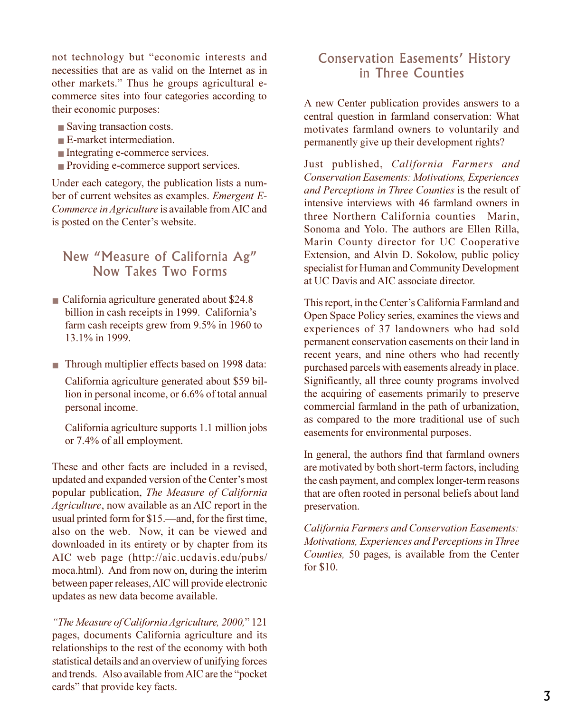not technology but "economic interests and necessities that are as valid on the Internet as in other markets." Thus he groups agricultural ecommerce sites into four categories according to their economic purposes:

- Saving transaction costs.
- E-market intermediation.
- Integrating e-commerce services.
- Providing e-commerce support services.

Under each category, the publication lists a number of current websites as examples. *Emergent E-Commerce in Agriculture* is available from AIC and is posted on the Center's website.

#### New "Measure of California Ag" Now Takes Two Forms

- California agriculture generated about \$24.8 billion in cash receipts in 1999. California's farm cash receipts grew from 9.5% in 1960 to 13.1% in 1999.
- Through multiplier effects based on 1998 data:

California agriculture generated about \$59 billion in personal income, or 6.6% of total annual personal income.

California agriculture supports 1.1 million jobs or 7.4% of all employment.

These and other facts are included in a revised, updated and expanded version of the Center's most popular publication, *The Measure of California Agriculture*, now available as an AIC report in the usual printed form for  $$15$ —and, for the first time, also on the web. Now, it can be viewed and downloaded in its entirety or by chapter from its AIC web page (http://aic.ucdavis.edu/pubs/ moca.html). And from now on, during the interim between paper releases, AIC will provide electronic updates as new data become available.

*The Measure of California Agriculture, 2000,* 121 pages, documents California agriculture and its relationships to the rest of the economy with both statistical details and an overview of unifying forces and trends. Also available from AIC are the "pocket" cards" that provide key facts.

#### Conservation Easements' History in Three Counties

A new Center publication provides answers to a central question in farmland conservation: What motivates farmland owners to voluntarily and permanently give up their development rights?

Just published, *California Farmers and Conservation Easements: Motivations, Experiences and Perceptions in Three Counties* is the result of intensive interviews with 46 farmland owners in three Northern California counties—Marin, Sonoma and Yolo. The authors are Ellen Rilla, Marin County director for UC Cooperative Extension, and Alvin D. Sokolow, public policy specialist for Human and Community Development at UC Davis and AIC associate director.

This report, in the Center's California Farmland and Open Space Policy series, examines the views and experiences of 37 landowners who had sold permanent conservation easements on their land in recent years, and nine others who had recently purchased parcels with easements already in place. Significantly, all three county programs involved the acquiring of easements primarily to preserve commercial farmland in the path of urbanization, as compared to the more traditional use of such easements for environmental purposes.

In general, the authors find that farmland owners are motivated by both short-term factors, including the cash payment, and complex longer-term reasons that are often rooted in personal beliefs about land preservation.

*California Farmers and Conservation Easements: Motivations, Experiences and Perceptions in Three Counties,* 50 pages, is available from the Center for \$10.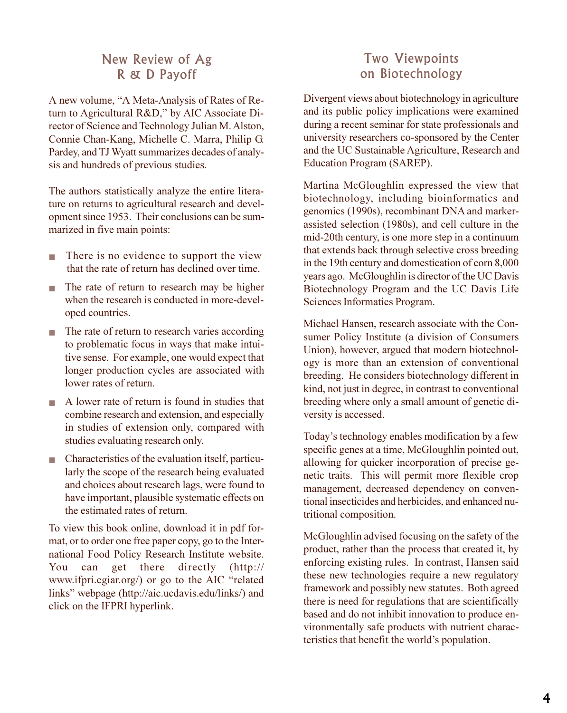#### New Review of Ag R & D Payoff

A new volume, "A Meta-Analysis of Rates of Return to Agricultural R&D," by AIC Associate Director of Science and Technology Julian M. Alston, Connie Chan-Kang, Michelle C. Marra, Philip G. Pardey, and TJ Wyatt summarizes decades of analysis and hundreds of previous studies.

The authors statistically analyze the entire literature on returns to agricultural research and development since 1953. Their conclusions can be summarized in five main points:

- There is no evidence to support the view that the rate of return has declined over time.
- The rate of return to research may be higher when the research is conducted in more-developed countries.
- The rate of return to research varies according to problematic focus in ways that make intuitive sense. For example, one would expect that longer production cycles are associated with lower rates of return.
- A lower rate of return is found in studies that combine research and extension, and especially in studies of extension only, compared with studies evaluating research only.
- Characteristics of the evaluation itself, particularly the scope of the research being evaluated and choices about research lags, were found to have important, plausible systematic effects on the estimated rates of return.

To view this book online, download it in pdf format, or to order one free paper copy, go to the International Food Policy Research Institute website. You can get there directly (http:// www.ifpri.cgiar.org/) or go to the AIC "related links" webpage (http://aic.ucdavis.edu/links/) and click on the IFPRI hyperlink.

## Two Viewpoints on Biotechnology

Divergent views about biotechnology in agriculture and its public policy implications were examined during a recent seminar for state professionals and university researchers co-sponsored by the Center and the UC Sustainable Agriculture, Research and Education Program (SAREP).

Martina McGloughlin expressed the view that biotechnology, including bioinformatics and genomics (1990s), recombinant DNA and markerassisted selection (1980s), and cell culture in the mid-20th century, is one more step in a continuum that extends back through selective cross breeding in the 19th century and domestication of corn 8,000 years ago. McGloughlin is director of the UC Davis Biotechnology Program and the UC Davis Life Sciences Informatics Program.

Michael Hansen, research associate with the Consumer Policy Institute (a division of Consumers Union), however, argued that modern biotechnology is more than an extension of conventional breeding. He considers biotechnology different in kind, not just in degree, in contrast to conventional breeding where only a small amount of genetic diversity is accessed.

Today's technology enables modification by a few specific genes at a time, McGloughlin pointed out, allowing for quicker incorporation of precise genetic traits. This will permit more flexible crop management, decreased dependency on conventional insecticides and herbicides, and enhanced nutritional composition.

McGloughlin advised focusing on the safety of the product, rather than the process that created it, by enforcing existing rules. In contrast, Hansen said these new technologies require a new regulatory framework and possibly new statutes. Both agreed there is need for regulations that are scientifically based and do not inhibit innovation to produce environmentally safe products with nutrient characteristics that benefit the world's population.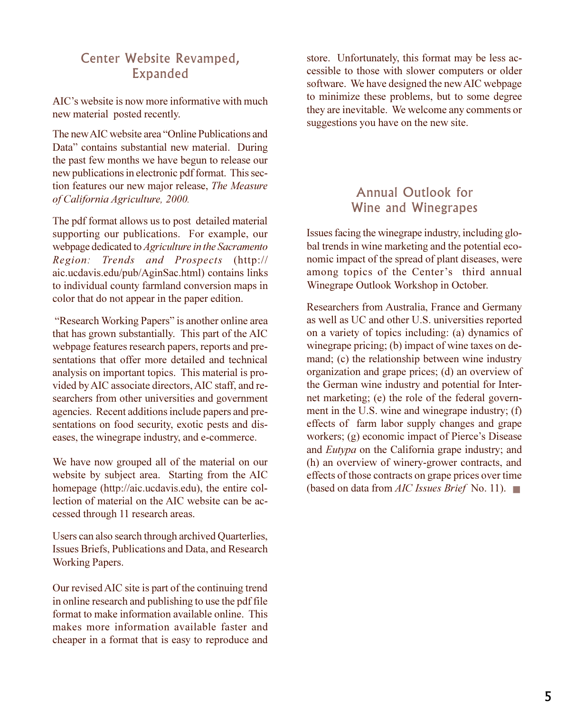#### Center Website Revamped, Expanded

AIC's website is now more informative with much new material posted recently.

The new AIC website area "Online Publications and Data" contains substantial new material. During the past few months we have begun to release our new publications in electronic pdf format. This section features our new major release, *The Measure of California Agriculture, 2000.*

The pdf format allows us to post detailed material supporting our publications. For example, our webpage dedicated to *Agriculture in the Sacramento Region: Trends and Prospects* (http:// aic.ucdavis.edu/pub/AginSac.html) contains links to individual county farmland conversion maps in color that do not appear in the paper edition.

"Research Working Papers" is another online area that has grown substantially. This part of the AIC webpage features research papers, reports and presentations that offer more detailed and technical analysis on important topics. This material is provided by AIC associate directors, AIC staff, and researchers from other universities and government agencies. Recent additions include papers and presentations on food security, exotic pests and diseases, the winegrape industry, and e-commerce.

We have now grouped all of the material on our website by subject area. Starting from the AIC homepage (http://aic.ucdavis.edu), the entire collection of material on the AIC website can be accessed through 11 research areas.

Users can also search through archived Quarterlies, Issues Briefs, Publications and Data, and Research Working Papers.

Our revised AIC site is part of the continuing trend in online research and publishing to use the pdf file format to make information available online. This makes more information available faster and cheaper in a format that is easy to reproduce and

store. Unfortunately, this format may be less accessible to those with slower computers or older software. We have designed the new AIC webpage to minimize these problems, but to some degree they are inevitable. We welcome any comments or suggestions you have on the new site.

### Annual Outlook for Wine and Winegrapes

Issues facing the winegrape industry, including global trends in wine marketing and the potential economic impact of the spread of plant diseases, were among topics of the Center's third annual Winegrape Outlook Workshop in October.

Researchers from Australia, France and Germany as well as UC and other U.S. universities reported on a variety of topics including: (a) dynamics of winegrape pricing; (b) impact of wine taxes on demand; (c) the relationship between wine industry organization and grape prices; (d) an overview of the German wine industry and potential for Internet marketing; (e) the role of the federal government in the U.S. wine and winegrape industry; (f) effects of farm labor supply changes and grape workers;  $(g)$  economic impact of Pierce's Disease and *Eutypa* on the California grape industry; and (h) an overview of winery-grower contracts, and effects of those contracts on grape prices over time (based on data from *AIC Issues Brief* No. 11). ■